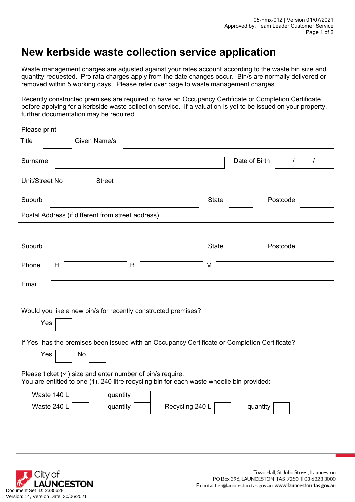## **New kerbside waste collection service application**

Waste management charges are adjusted against your rates account according to the waste bin size and quantity requested. Pro rata charges apply from the date changes occur. Bin/s are normally delivered or removed within 5 working days. Please refer over page to waste management charges.

Recently constructed premises are required to have an Occupancy Certificate or Completion Certificate before applying for a kerbside waste collection service. If a valuation is yet to be issued on your property, further documentation may be required.

Please print

| <b>Title</b><br><b>Given Name/s</b>                                                                                                                                                |
|------------------------------------------------------------------------------------------------------------------------------------------------------------------------------------|
| Date of Birth<br>Surname<br>$\sqrt{2}$<br>$\prime$                                                                                                                                 |
| Unit/Street No<br><b>Street</b>                                                                                                                                                    |
| Suburb<br><b>State</b><br>Postcode                                                                                                                                                 |
| Postal Address (if different from street address)                                                                                                                                  |
|                                                                                                                                                                                    |
| Suburb<br><b>State</b><br>Postcode                                                                                                                                                 |
| $\sf B$<br>Phone<br>H<br>M                                                                                                                                                         |
| Email                                                                                                                                                                              |
| Would you like a new bin/s for recently constructed premises?<br>Yes<br>If Yes, has the premises been issued with an Occupancy Certificate or Completion Certificate?<br>Yes<br>No |
| Please ticket $(\checkmark)$ size and enter number of bin/s require.<br>You are entitled to one (1), 240 litre recycling bin for each waste wheelie bin provided:                  |
| Waste 140 L<br>quantity<br>Waste 240 L<br>Recycling 240 L<br>quantity<br>quantity                                                                                                  |